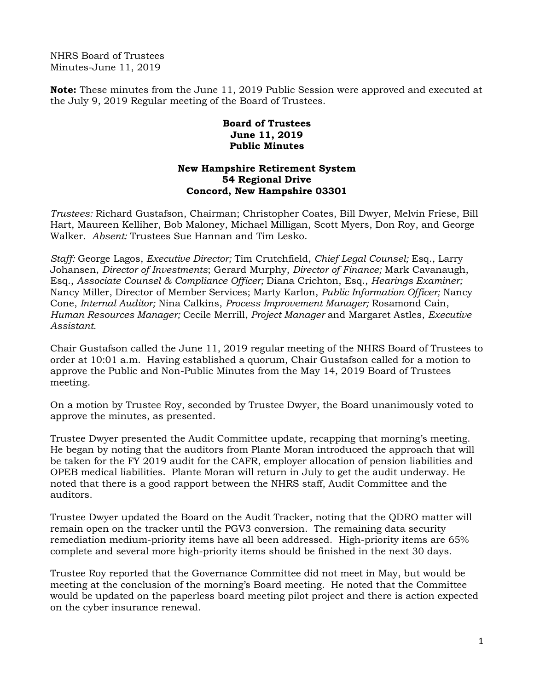NHRS Board of Trustees Minutes-June 11, 2019

**Note:** These minutes from the June 11, 2019 Public Session were approved and executed at the July 9, 2019 Regular meeting of the Board of Trustees.

## **Board of Trustees June 11, 2019 Public Minutes**

## **New Hampshire Retirement System 54 Regional Drive Concord, New Hampshire 03301**

*Trustees:* Richard Gustafson, Chairman; Christopher Coates, Bill Dwyer, Melvin Friese, Bill Hart, Maureen Kelliher, Bob Maloney, Michael Milligan, Scott Myers, Don Roy, and George Walker. *Absent:* Trustees Sue Hannan and Tim Lesko.

*Staff:* George Lagos, *Executive Director;* Tim Crutchfield, *Chief Legal Counsel;* Esq., Larry Johansen, *Director of Investments*; Gerard Murphy, *Director of Finance;* Mark Cavanaugh, Esq., *Associate Counsel & Compliance Officer;* Diana Crichton, Esq., *Hearings Examiner;* Nancy Miller, Director of Member Services; Marty Karlon, *Public Information Officer;* Nancy Cone, *Internal Auditor;* Nina Calkins, *Process Improvement Manager;* Rosamond Cain, *Human Resources Manager;* Cecile Merrill, *Project Manager* and Margaret Astles, *Executive Assistant.* 

Chair Gustafson called the June 11, 2019 regular meeting of the NHRS Board of Trustees to order at 10:01 a.m. Having established a quorum, Chair Gustafson called for a motion to approve the Public and Non-Public Minutes from the May 14, 2019 Board of Trustees meeting.

On a motion by Trustee Roy, seconded by Trustee Dwyer, the Board unanimously voted to approve the minutes, as presented.

Trustee Dwyer presented the Audit Committee update, recapping that morning's meeting. He began by noting that the auditors from Plante Moran introduced the approach that will be taken for the FY 2019 audit for the CAFR, employer allocation of pension liabilities and OPEB medical liabilities. Plante Moran will return in July to get the audit underway. He noted that there is a good rapport between the NHRS staff, Audit Committee and the auditors.

Trustee Dwyer updated the Board on the Audit Tracker, noting that the QDRO matter will remain open on the tracker until the PGV3 conversion. The remaining data security remediation medium-priority items have all been addressed. High-priority items are 65% complete and several more high-priority items should be finished in the next 30 days.

Trustee Roy reported that the Governance Committee did not meet in May, but would be meeting at the conclusion of the morning's Board meeting. He noted that the Committee would be updated on the paperless board meeting pilot project and there is action expected on the cyber insurance renewal.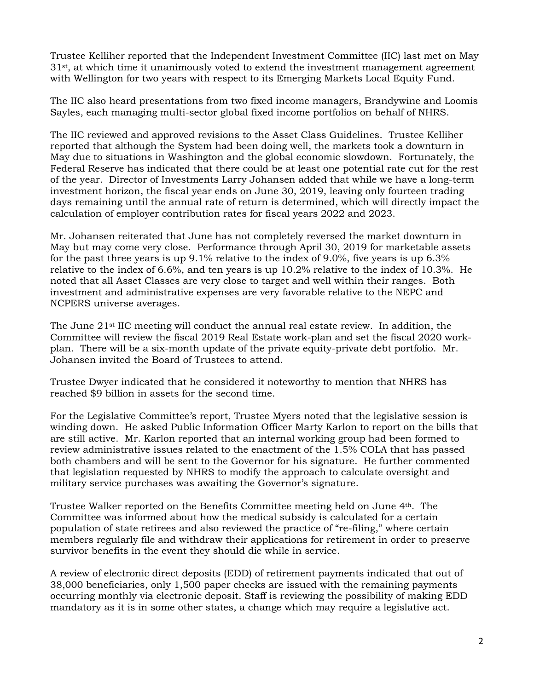Trustee Kelliher reported that the Independent Investment Committee (IIC) last met on May 31st, at which time it unanimously voted to extend the investment management agreement with Wellington for two years with respect to its Emerging Markets Local Equity Fund.

The IIC also heard presentations from two fixed income managers, Brandywine and Loomis Sayles, each managing multi-sector global fixed income portfolios on behalf of NHRS.

The IIC reviewed and approved revisions to the Asset Class Guidelines. Trustee Kelliher reported that although the System had been doing well, the markets took a downturn in May due to situations in Washington and the global economic slowdown. Fortunately, the Federal Reserve has indicated that there could be at least one potential rate cut for the rest of the year. Director of Investments Larry Johansen added that while we have a long-term investment horizon, the fiscal year ends on June 30, 2019, leaving only fourteen trading days remaining until the annual rate of return is determined, which will directly impact the calculation of employer contribution rates for fiscal years 2022 and 2023.

Mr. Johansen reiterated that June has not completely reversed the market downturn in May but may come very close. Performance through April 30, 2019 for marketable assets for the past three years is up 9.1% relative to the index of 9.0%, five years is up 6.3% relative to the index of 6.6%, and ten years is up 10.2% relative to the index of 10.3%. He noted that all Asset Classes are very close to target and well within their ranges. Both investment and administrative expenses are very favorable relative to the NEPC and NCPERS universe averages.

The June 21st IIC meeting will conduct the annual real estate review. In addition, the Committee will review the fiscal 2019 Real Estate work-plan and set the fiscal 2020 workplan. There will be a six-month update of the private equity-private debt portfolio. Mr. Johansen invited the Board of Trustees to attend.

Trustee Dwyer indicated that he considered it noteworthy to mention that NHRS has reached \$9 billion in assets for the second time.

For the Legislative Committee's report, Trustee Myers noted that the legislative session is winding down. He asked Public Information Officer Marty Karlon to report on the bills that are still active. Mr. Karlon reported that an internal working group had been formed to review administrative issues related to the enactment of the 1.5% COLA that has passed both chambers and will be sent to the Governor for his signature. He further commented that legislation requested by NHRS to modify the approach to calculate oversight and military service purchases was awaiting the Governor's signature.

Trustee Walker reported on the Benefits Committee meeting held on June 4th. The Committee was informed about how the medical subsidy is calculated for a certain population of state retirees and also reviewed the practice of "re-filing," where certain members regularly file and withdraw their applications for retirement in order to preserve survivor benefits in the event they should die while in service.

A review of electronic direct deposits (EDD) of retirement payments indicated that out of 38,000 beneficiaries, only 1,500 paper checks are issued with the remaining payments occurring monthly via electronic deposit. Staff is reviewing the possibility of making EDD mandatory as it is in some other states, a change which may require a legislative act.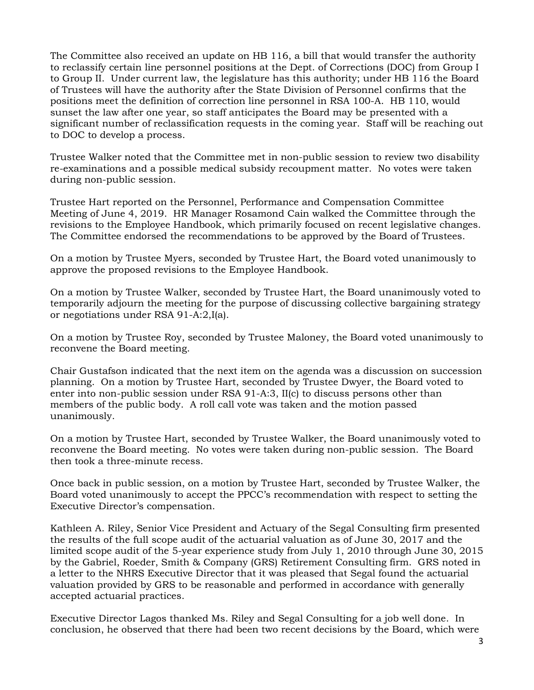The Committee also received an update on HB 116, a bill that would transfer the authority to reclassify certain line personnel positions at the Dept. of Corrections (DOC) from Group I to Group II. Under current law, the legislature has this authority; under HB 116 the Board of Trustees will have the authority after the State Division of Personnel confirms that the positions meet the definition of correction line personnel in RSA 100-A. HB 110, would sunset the law after one year, so staff anticipates the Board may be presented with a significant number of reclassification requests in the coming year. Staff will be reaching out to DOC to develop a process.

Trustee Walker noted that the Committee met in non-public session to review two disability re-examinations and a possible medical subsidy recoupment matter. No votes were taken during non-public session.

Trustee Hart reported on the Personnel, Performance and Compensation Committee Meeting of June 4, 2019. HR Manager Rosamond Cain walked the Committee through the revisions to the Employee Handbook, which primarily focused on recent legislative changes. The Committee endorsed the recommendations to be approved by the Board of Trustees.

On a motion by Trustee Myers, seconded by Trustee Hart, the Board voted unanimously to approve the proposed revisions to the Employee Handbook.

On a motion by Trustee Walker, seconded by Trustee Hart, the Board unanimously voted to temporarily adjourn the meeting for the purpose of discussing collective bargaining strategy or negotiations under RSA 91-A:2,I(a).

On a motion by Trustee Roy, seconded by Trustee Maloney, the Board voted unanimously to reconvene the Board meeting.

Chair Gustafson indicated that the next item on the agenda was a discussion on succession planning. On a motion by Trustee Hart, seconded by Trustee Dwyer, the Board voted to enter into non-public session under RSA 91-A:3, II(c) to discuss persons other than members of the public body. A roll call vote was taken and the motion passed unanimously.

On a motion by Trustee Hart, seconded by Trustee Walker, the Board unanimously voted to reconvene the Board meeting. No votes were taken during non-public session. The Board then took a three-minute recess.

Once back in public session, on a motion by Trustee Hart, seconded by Trustee Walker, the Board voted unanimously to accept the PPCC's recommendation with respect to setting the Executive Director's compensation.

Kathleen A. Riley, Senior Vice President and Actuary of the Segal Consulting firm presented the results of the full scope audit of the actuarial valuation as of June 30, 2017 and the limited scope audit of the 5-year experience study from July 1, 2010 through June 30, 2015 by the Gabriel, Roeder, Smith & Company (GRS) Retirement Consulting firm. GRS noted in a letter to the NHRS Executive Director that it was pleased that Segal found the actuarial valuation provided by GRS to be reasonable and performed in accordance with generally accepted actuarial practices.

Executive Director Lagos thanked Ms. Riley and Segal Consulting for a job well done. In conclusion, he observed that there had been two recent decisions by the Board, which were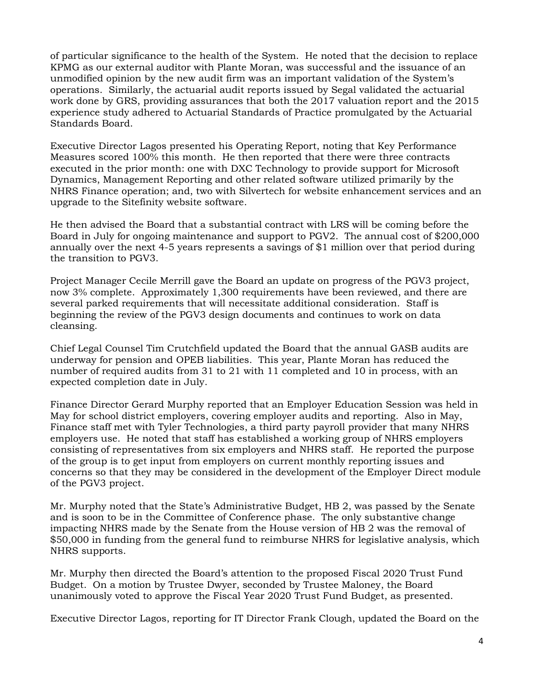of particular significance to the health of the System. He noted that the decision to replace KPMG as our external auditor with Plante Moran, was successful and the issuance of an unmodified opinion by the new audit firm was an important validation of the System's operations. Similarly, the actuarial audit reports issued by Segal validated the actuarial work done by GRS, providing assurances that both the 2017 valuation report and the 2015 experience study adhered to Actuarial Standards of Practice promulgated by the Actuarial Standards Board.

Executive Director Lagos presented his Operating Report, noting that Key Performance Measures scored 100% this month. He then reported that there were three contracts executed in the prior month: one with DXC Technology to provide support for Microsoft Dynamics, Management Reporting and other related software utilized primarily by the NHRS Finance operation; and, two with Silvertech for website enhancement services and an upgrade to the Sitefinity website software.

He then advised the Board that a substantial contract with LRS will be coming before the Board in July for ongoing maintenance and support to PGV2. The annual cost of \$200,000 annually over the next 4-5 years represents a savings of \$1 million over that period during the transition to PGV3.

Project Manager Cecile Merrill gave the Board an update on progress of the PGV3 project, now 3% complete. Approximately 1,300 requirements have been reviewed, and there are several parked requirements that will necessitate additional consideration. Staff is beginning the review of the PGV3 design documents and continues to work on data cleansing.

Chief Legal Counsel Tim Crutchfield updated the Board that the annual GASB audits are underway for pension and OPEB liabilities. This year, Plante Moran has reduced the number of required audits from 31 to 21 with 11 completed and 10 in process, with an expected completion date in July.

Finance Director Gerard Murphy reported that an Employer Education Session was held in May for school district employers, covering employer audits and reporting. Also in May, Finance staff met with Tyler Technologies, a third party payroll provider that many NHRS employers use. He noted that staff has established a working group of NHRS employers consisting of representatives from six employers and NHRS staff. He reported the purpose of the group is to get input from employers on current monthly reporting issues and concerns so that they may be considered in the development of the Employer Direct module of the PGV3 project.

Mr. Murphy noted that the State's Administrative Budget, HB 2, was passed by the Senate and is soon to be in the Committee of Conference phase. The only substantive change impacting NHRS made by the Senate from the House version of HB 2 was the removal of \$50,000 in funding from the general fund to reimburse NHRS for legislative analysis, which NHRS supports.

Mr. Murphy then directed the Board's attention to the proposed Fiscal 2020 Trust Fund Budget. On a motion by Trustee Dwyer, seconded by Trustee Maloney, the Board unanimously voted to approve the Fiscal Year 2020 Trust Fund Budget, as presented.

Executive Director Lagos, reporting for IT Director Frank Clough, updated the Board on the